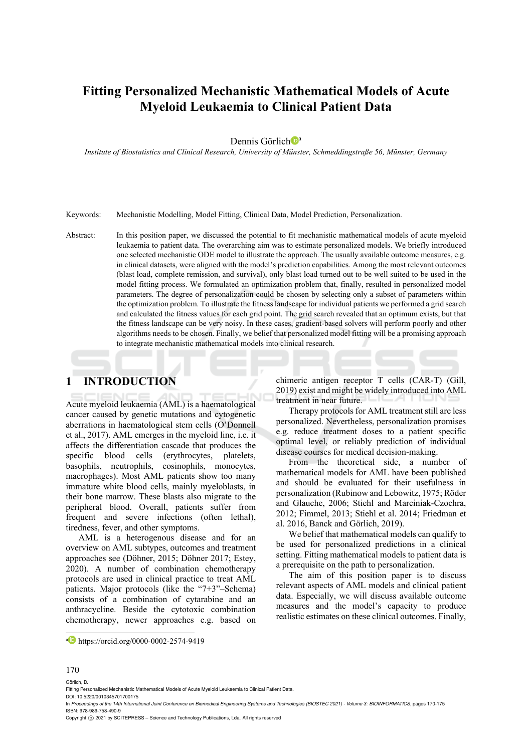# **Fitting Personalized Mechanistic Mathematical Models of Acute Myeloid Leukaemia to Clinical Patient Data**

Dennis Görlich<sup>®</sup>

*Institute of Biostatistics and Clinical Research, University of Münster, Schmeddingstraße 56, Münster, Germany* 

Keywords: Mechanistic Modelling, Model Fitting, Clinical Data, Model Prediction, Personalization.

Abstract: In this position paper, we discussed the potential to fit mechanistic mathematical models of acute myeloid leukaemia to patient data. The overarching aim was to estimate personalized models. We briefly introduced one selected mechanistic ODE model to illustrate the approach. The usually available outcome measures, e.g. in clinical datasets, were aligned with the model's prediction capabilities. Among the most relevant outcomes (blast load, complete remission, and survival), only blast load turned out to be well suited to be used in the model fitting process. We formulated an optimization problem that, finally, resulted in personalized model parameters. The degree of personalization could be chosen by selecting only a subset of parameters within the optimization problem. To illustrate the fitness landscape for individual patients we performed a grid search and calculated the fitness values for each grid point. The grid search revealed that an optimum exists, but that the fitness landscape can be very noisy. In these cases, gradient-based solvers will perform poorly and other algorithms needs to be chosen. Finally, we belief that personalized model fitting will be a promising approach to integrate mechanistic mathematical models into clinical research.

## **1 INTRODUCTION**

Acute myeloid leukaemia (AML) is a haematological cancer caused by genetic mutations and cytogenetic aberrations in haematological stem cells (O'Donnell et al., 2017). AML emerges in the myeloid line, i.e. it affects the differentiation cascade that produces the specific blood cells (erythrocytes, platelets, basophils, neutrophils, eosinophils, monocytes, macrophages). Most AML patients show too many immature white blood cells, mainly myeloblasts, in their bone marrow. These blasts also migrate to the peripheral blood. Overall, patients suffer from frequent and severe infections (often lethal), tiredness, fever, and other symptoms.

AML is a heterogenous disease and for an overview on AML subtypes, outcomes and treatment approaches see (Döhner, 2015; Döhner 2017; Estey, 2020). A number of combination chemotherapy protocols are used in clinical practice to treat AML patients. Major protocols (like the "7+3"–Schema) consists of a combination of cytarabine and an anthracycline. Beside the cytotoxic combination chemotherapy, newer approaches e.g. based on

chimeric antigen receptor T cells (CAR-T) (Gill, 2019) exist and might be widely introduced into AML treatment in near future.

Therapy protocols for AML treatment still are less personalized. Nevertheless, personalization promises e.g. reduce treatment doses to a patient specific optimal level, or reliably prediction of individual disease courses for medical decision-making.

From the theoretical side, a number of mathematical models for AML have been published and should be evaluated for their usefulness in personalization (Rubinow and Lebowitz, 1975; Röder and Glauche, 2006; Stiehl and Marciniak-Czochra, 2012; Fimmel, 2013; Stiehl et al. 2014; Friedman et al. 2016, Banck and Görlich, 2019).

We belief that mathematical models can qualify to be used for personalized predictions in a clinical setting. Fitting mathematical models to patient data is a prerequisite on the path to personalization.

The aim of this position paper is to discuss relevant aspects of AML models and clinical patient data. Especially, we will discuss available outcome measures and the model's capacity to produce realistic estimates on these clinical outcomes. Finally,

#### 170

Görlich, D.

In *Proceedings of the 14th International Joint Conference on Biomedical Engineering Systems and Technologies (BIOSTEC 2021) - Volume 3: BIOINFORMATICS*, pages 170-175 ISBN: 978-989-758-490-9

a https://orcid.org/0000-0002-2574-9419

Fitting Personalized Mechanistic Mathematical Models of Acute Myeloid Leukaemia to Clinical Patient Data. DOI: 10.5220/0010345701700175

Copyright (C) 2021 by SCITEPRESS - Science and Technology Publications, Lda. All rights reserved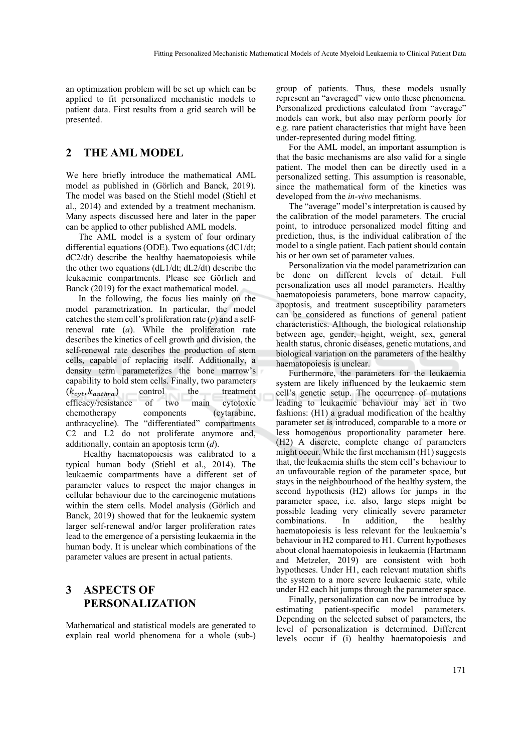an optimization problem will be set up which can be applied to fit personalized mechanistic models to patient data. First results from a grid search will be presented.

### **2 THE AML MODEL**

We here briefly introduce the mathematical AML model as published in (Görlich and Banck, 2019). The model was based on the Stiehl model (Stiehl et al., 2014) and extended by a treatment mechanism. Many aspects discussed here and later in the paper can be applied to other published AML models.

The AML model is a system of four ordinary differential equations (ODE). Two equations (dC1/dt; dC2/dt) describe the healthy haematopoiesis while the other two equations (dL1/dt; dL2/dt) describe the leukaemic compartments. Please see Görlich and Banck (2019) for the exact mathematical model.

In the following, the focus lies mainly on the model parametrization. In particular, the model catches the stem cell's proliferation rate (*p*) and a selfrenewal rate (*a*). While the proliferation rate describes the kinetics of cell growth and division, the self-renewal rate describes the production of stem cells, capable of replacing itself. Additionally, a density term parameterizes the bone marrow's capability to hold stem cells. Finally, two parameters  $(k_{cyt}, k_{anthra})$  control the treatment efficacy/resistance of two main cytotoxic chemotherapy components (cytarabine, anthracycline). The "differentiated" compartments C2 and L2 do not proliferate anymore and, additionally, contain an apoptosis term (*d*).

Healthy haematopoiesis was calibrated to a typical human body (Stiehl et al., 2014). The leukaemic compartments have a different set of parameter values to respect the major changes in cellular behaviour due to the carcinogenic mutations within the stem cells. Model analysis (Görlich and Banck, 2019) showed that for the leukaemic system larger self-renewal and/or larger proliferation rates lead to the emergence of a persisting leukaemia in the human body. It is unclear which combinations of the parameter values are present in actual patients.

## **3 ASPECTS OF PERSONALIZATION**

Mathematical and statistical models are generated to explain real world phenomena for a whole (sub-)

group of patients. Thus, these models usually represent an "averaged" view onto these phenomena. Personalized predictions calculated from "average" models can work, but also may perform poorly for e.g. rare patient characteristics that might have been under-represented during model fitting.

For the AML model, an important assumption is that the basic mechanisms are also valid for a single patient. The model then can be directly used in a personalized setting. This assumption is reasonable, since the mathematical form of the kinetics was developed from the *in-vivo* mechanisms.

The "average" model's interpretation is caused by the calibration of the model parameters. The crucial point, to introduce personalized model fitting and prediction, thus, is the individual calibration of the model to a single patient. Each patient should contain his or her own set of parameter values.

Personalization via the model parametrization can be done on different levels of detail. Full personalization uses all model parameters. Healthy haematopoiesis parameters, bone marrow capacity, apoptosis, and treatment susceptibility parameters can be considered as functions of general patient characteristics. Although, the biological relationship between age, gender, height, weight, sex, general health status, chronic diseases, genetic mutations, and biological variation on the parameters of the healthy haematopoiesis is unclear.

Furthermore, the parameters for the leukaemia system are likely influenced by the leukaemic stem cell's genetic setup. The occurrence of mutations leading to leukaemic behaviour may act in two fashions: (H1) a gradual modification of the healthy parameter set is introduced, comparable to a more or less homogenous proportionality parameter here. (H2) A discrete, complete change of parameters might occur. While the first mechanism (H1) suggests that, the leukaemia shifts the stem cell's behaviour to an unfavourable region of the parameter space, but stays in the neighbourhood of the healthy system, the second hypothesis (H2) allows for jumps in the parameter space, i.e. also, large steps might be possible leading very clinically severe parameter combinations. In addition, the healthy haematopoiesis is less relevant for the leukaemia's behaviour in H2 compared to H1. Current hypotheses about clonal haematopoiesis in leukaemia (Hartmann and Metzeler, 2019) are consistent with both hypotheses. Under H1, each relevant mutation shifts the system to a more severe leukaemic state, while under H2 each hit jumps through the parameter space.

Finally, personalization can now be introduce by estimating patient-specific model parameters. Depending on the selected subset of parameters, the level of personalization is determined. Different levels occur if (i) healthy haematopoiesis and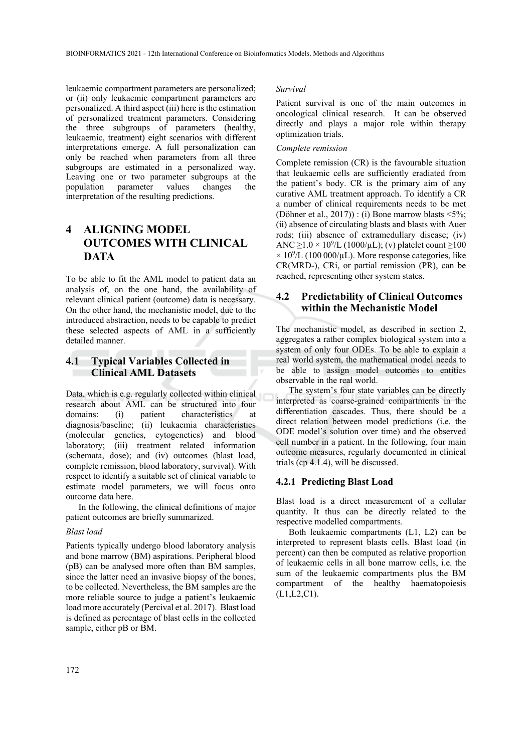leukaemic compartment parameters are personalized; or (ii) only leukaemic compartment parameters are personalized. A third aspect (iii) here is the estimation of personalized treatment parameters. Considering the three subgroups of parameters (healthy, leukaemic, treatment) eight scenarios with different interpretations emerge. A full personalization can only be reached when parameters from all three subgroups are estimated in a personalized way. Leaving one or two parameter subgroups at the population parameter values changes the parameter values changes the interpretation of the resulting predictions.

## **4 ALIGNING MODEL OUTCOMES WITH CLINICAL DATA**

To be able to fit the AML model to patient data an analysis of, on the one hand, the availability of relevant clinical patient (outcome) data is necessary. On the other hand, the mechanistic model, due to the introduced abstraction, needs to be capable to predict these selected aspects of AML in a sufficiently detailed manner.

### **4.1 Typical Variables Collected in Clinical AML Datasets**

Data, which is e.g. regularly collected within clinical research about AML can be structured into four domains: (i) patient characteristics at diagnosis/baseline; (ii) leukaemia characteristics (molecular genetics, cytogenetics) and blood laboratory; (iii) treatment related information (schemata, dose); and (iv) outcomes (blast load, complete remission, blood laboratory, survival). With respect to identify a suitable set of clinical variable to estimate model parameters, we will focus onto outcome data here.

In the following, the clinical definitions of major patient outcomes are briefly summarized.

#### *Blast load*

Patients typically undergo blood laboratory analysis and bone marrow (BM) aspirations. Peripheral blood (pB) can be analysed more often than BM samples, since the latter need an invasive biopsy of the bones, to be collected. Nevertheless, the BM samples are the more reliable source to judge a patient's leukaemic load more accurately (Percival et al. 2017). Blast load is defined as percentage of blast cells in the collected sample, either pB or BM.

#### *Survival*

Patient survival is one of the main outcomes in oncological clinical research. It can be observed directly and plays a major role within therapy optimization trials.

#### *Complete remission*

Complete remission (CR) is the favourable situation that leukaemic cells are sufficiently eradiated from the patient's body. CR is the primary aim of any curative AML treatment approach. To identify a CR a number of clinical requirements needs to be met (Döhner et al.,  $2017$ )) : (i) Bone marrow blasts <5%; (ii) absence of circulating blasts and blasts with Auer rods; (iii) absence of extramedullary disease; (iv) ANC  $\geq$ 1.0 × 10<sup>9</sup>/L (1000/ $\mu$ L); (v) platelet count  $\geq$ 100  $\times$  10<sup>9</sup>/L (100 000/µL). More response categories, like CR(MRD-), CRi, or partial remission (PR), can be reached, representing other system states.

### **4.2 Predictability of Clinical Outcomes within the Mechanistic Model**

The mechanistic model, as described in section 2, aggregates a rather complex biological system into a system of only four ODEs. To be able to explain a real world system, the mathematical model needs to be able to assign model outcomes to entities observable in the real world.

The system's four state variables can be directly interpreted as coarse-grained compartments in the differentiation cascades. Thus, there should be a direct relation between model predictions (i.e. the ODE model's solution over time) and the observed cell number in a patient. In the following, four main outcome measures, regularly documented in clinical trials (cp 4.1.4), will be discussed.

#### **4.2.1 Predicting Blast Load**

Blast load is a direct measurement of a cellular quantity. It thus can be directly related to the respective modelled compartments.

Both leukaemic compartments (L1, L2) can be interpreted to represent blasts cells. Blast load (in percent) can then be computed as relative proportion of leukaemic cells in all bone marrow cells, i.e. the sum of the leukaemic compartments plus the BM compartment of the healthy haematopoiesis (L1,L2,C1).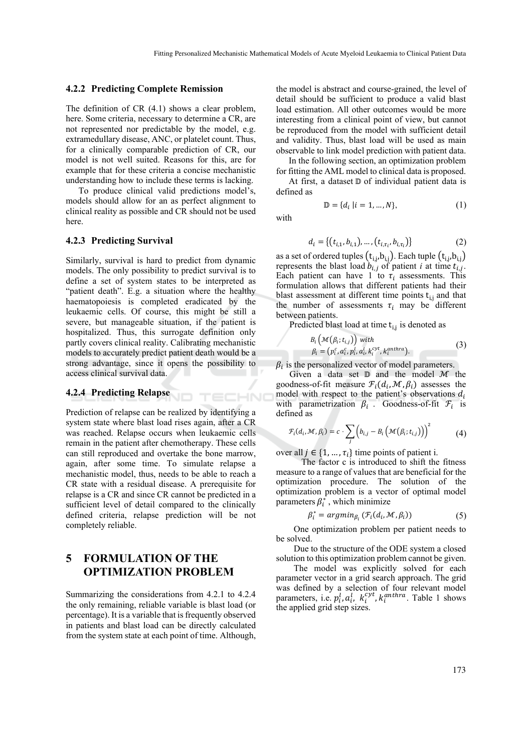#### **4.2.2 Predicting Complete Remission**

The definition of CR (4.1) shows a clear problem, here. Some criteria, necessary to determine a CR, are not represented nor predictable by the model, e.g. extramedullary disease, ANC, or platelet count. Thus, for a clinically comparable prediction of CR, our model is not well suited. Reasons for this, are for example that for these criteria a concise mechanistic understanding how to include these terms is lacking.

To produce clinical valid predictions model's, models should allow for an as perfect alignment to clinical reality as possible and CR should not be used here.

#### **4.2.3 Predicting Survival**

Similarly, survival is hard to predict from dynamic models. The only possibility to predict survival is to define a set of system states to be interpreted as "patient death". E.g. a situation where the healthy haematopoiesis is completed eradicated by the leukaemic cells. Of course, this might be still a severe, but manageable situation, if the patient is hospitalized. Thus, this surrogate definition only partly covers clinical reality. Calibrating mechanistic models to accurately predict patient death would be a strong advantage, since it opens the possibility to access clinical survival data.

#### **4.2.4 Predicting Relapse**

Prediction of relapse can be realized by identifying a system state where blast load rises again, after a CR was reached. Relapse occurs when leukaemic cells remain in the patient after chemotherapy. These cells can still reproduced and overtake the bone marrow, again, after some time. To simulate relapse a mechanistic model, thus, needs to be able to reach a CR state with a residual disease. A prerequisite for relapse is a CR and since CR cannot be predicted in a sufficient level of detail compared to the clinically defined criteria, relapse prediction will be not completely reliable.

## **5 FORMULATION OF THE OPTIMIZATION PROBLEM**

Summarizing the considerations from 4.2.1 to 4.2.4 the only remaining, reliable variable is blast load (or percentage). It is a variable that is frequently observed in patients and blast load can be directly calculated from the system state at each point of time. Although,

the model is abstract and course-grained, the level of detail should be sufficient to produce a valid blast load estimation. All other outcomes would be more interesting from a clinical point of view, but cannot be reproduced from the model with sufficient detail and validity. Thus, blast load will be used as main observable to link model prediction with patient data.

In the following section, an optimization problem for fitting the AML model to clinical data is proposed. At first, a dataset  $D$  of individual patient data is

defined as  $\mathbb{D} = \{ d_i \mid i = 1, ..., N \},$  (1)

with

TECHNO

$$
d_i = \{(t_{i,1}, b_{i,1}), \dots, (t_{i,\tau_i}, b_{i,\tau_i})\}
$$
(2)

as a set of ordered tuples  $(\mathrm{t_{i,j,b}}_{i,j})$ . Each tuple  $(\mathrm{t_{i,j,b}}_{i,j})$ represents the blast load  $b_{i,j}$  of patient *i* at time  $t_{i,j}$ . Each patient can have 1 to  $\tau_i$  assessments. This formulation allows that different patients had their blast assessment at different time points  $t_{i,j}$  and that the number of assessments  $\tau_i$  may be different between patients.

Predicted blast load at time  $t_{i,j}$  is denoted as

$$
B_i\left(\mathcal{M}(\beta_i; t_{i,j})\right) with\n\beta_i = \left(p_i^c, a_i^c, p_i^l, a_i^l, k_i^{cyt}, k_i^{anthra}\right).
$$
\n(3)

 $\beta_i$  is the personalized vector of model parameters.

Given a data set  $\mathbb D$  and the model  $\mathcal M$  the goodness-of-fit measure  $\mathcal{F}_i(d_i, \mathcal{M}, \beta_i)$  assesses the model with respect to the patient's observations  $d_i$ with parametrization  $\beta_i$ . Goodness-of-fit  $\mathcal{F}_i$  is defined as

$$
\mathcal{F}_i(d_i,\mathcal{M},\beta_i)=c\cdot\sum_j \left(b_{i,j}-B_i\left(\mathcal{M}(\beta_i;t_{i,j})\right)\right)^2\tag{4}
$$

over all  $j \in \{1, ..., \tau_i\}$  time points of patient i.

The factor c is introduced to shift the fitness measure to a range of values that are beneficial for the optimization procedure. The solution of the optimization problem is a vector of optimal model parameters  $\beta_i^*$ , which minimize

$$
\beta_i^* = argmin_{\beta_i} \left( \mathcal{F}_i(d_i, \mathcal{M}, \beta_i) \right) \tag{5}
$$

One optimization problem per patient needs to be solved.

Due to the structure of the ODE system a closed solution to this optimization problem cannot be given.

The model was explicitly solved for each parameter vector in a grid search approach. The grid was defined by a selection of four relevant model parameters, i.e.  $p_i^l, a_i^l, k_i^{cyt}, k_i^{anthra}$ . Table 1 shows the applied grid step sizes.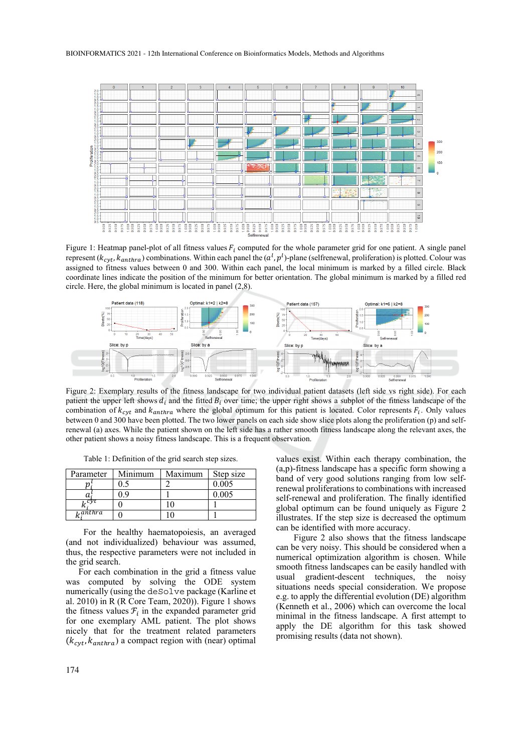

Figure 1: Heatmap panel-plot of all fitness values  $F_i$  computed for the whole parameter grid for one patient. A single panel represent ( $k_{cyt}$ ,  $k_{antbra}$ ) combinations. Within each panel the ( $a^l$ ,  $p^l$ )-plane (selfrenewal, proliferation) is plotted. Colour was assigned to fitness values between 0 and 300. Within each panel, the local minimum is marked by a filled circle. Black coordinate lines indicate the position of the minimum for better orientation. The global minimum is marked by a filled red circle. Here, the global minimum is located in panel (2,8).



Figure 2: Exemplary results of the fitness landscape for two individual patient datasets (left side vs right side). For each patient the upper left shows  $d_i$  and the fitted  $B_i$  over time; the upper right shows a subplot of the fitness landscape of the combination of  $k_{\text{cvt}}$  and  $k_{\text{anthra}}$  where the global optimum for this patient is located. Color represents  $F_i$ . Only values between 0 and 300 have been plotted. The two lower panels on each side show slice plots along the proliferation (p) and selfrenewal (a) axes. While the patient shown on the left side has a rather smooth fitness landscape along the relevant axes, the other patient shows a noisy fitness landscape. This is a frequent observation.

Table 1: Definition of the grid search step sizes.

| Parameter | Minimum | Maximum | Step size |
|-----------|---------|---------|-----------|
|           |         |         | 0.005     |
|           |         |         | 0.005     |
| cy        |         |         |           |
| 1,anthra  |         |         |           |

For the healthy haematopoiesis, an averaged (and not individualized) behaviour was assumed, thus, the respective parameters were not included in the grid search.

For each combination in the grid a fitness value was computed by solving the ODE system numerically (using the deSolve package (Karline et al. 2010) in R (R Core Team, 2020)). Figure 1 shows the fitness values  $\mathcal{F}_i$  in the expanded parameter grid for one exemplary AML patient. The plot shows nicely that for the treatment related parameters  $(k_{\text{cvt}}, k_{\text{anthra}})$  a compact region with (near) optimal

values exist. Within each therapy combination, the (a,p)-fitness landscape has a specific form showing a band of very good solutions ranging from low selfrenewal proliferations to combinations with increased self-renewal and proliferation. The finally identified global optimum can be found uniquely as Figure 2 illustrates. If the step size is decreased the optimum can be identified with more accuracy.

Figure 2 also shows that the fitness landscape can be very noisy. This should be considered when a numerical optimization algorithm is chosen. While smooth fitness landscapes can be easily handled with usual gradient-descent techniques, the noisy situations needs special consideration. We propose e.g. to apply the differential evolution (DE) algorithm (Kenneth et al., 2006) which can overcome the local minimal in the fitness landscape. A first attempt to apply the DE algorithm for this task showed promising results (data not shown).